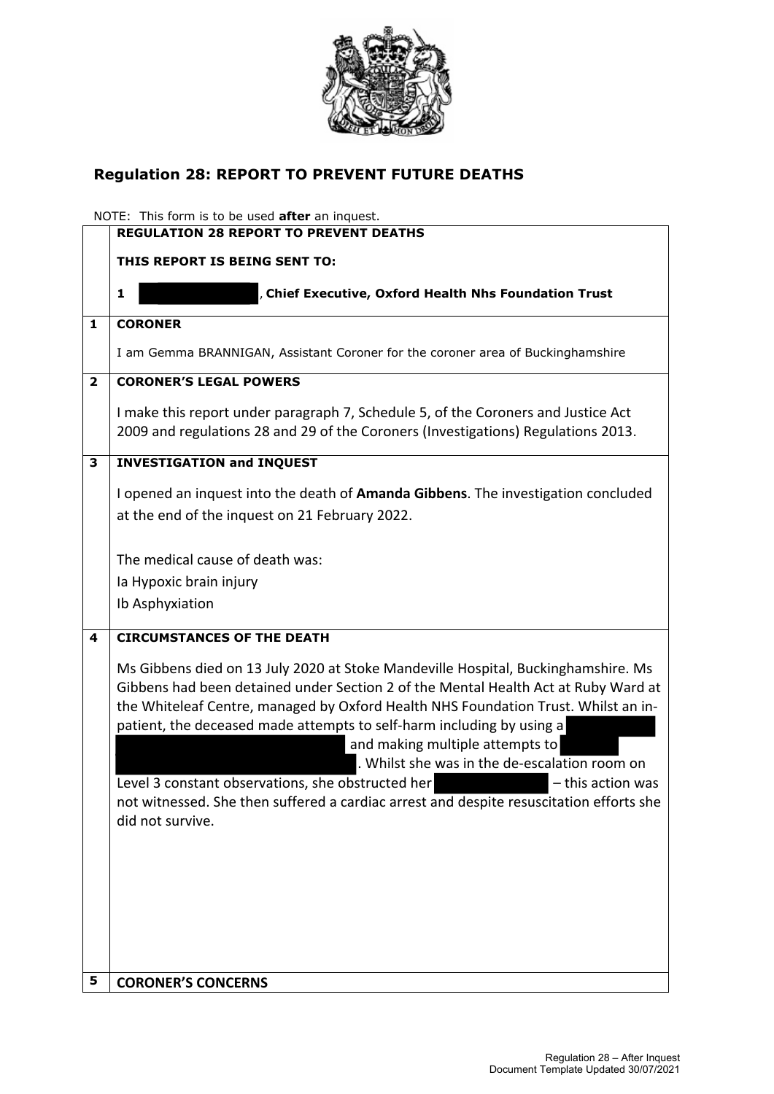

# **Regulation 28: REPORT TO PREVENT FUTURE DEATHS**

NOTE: This form is to be used **after** an inquest.

|                | <b>REGULATION 28 REPORT TO PREVENT DEATHS</b>                                                                                                                                                                                                                                                                                                                                                                                                                                                                                                                                                                       |
|----------------|---------------------------------------------------------------------------------------------------------------------------------------------------------------------------------------------------------------------------------------------------------------------------------------------------------------------------------------------------------------------------------------------------------------------------------------------------------------------------------------------------------------------------------------------------------------------------------------------------------------------|
|                | THIS REPORT IS BEING SENT TO:                                                                                                                                                                                                                                                                                                                                                                                                                                                                                                                                                                                       |
|                | Chief Executive, Oxford Health Nhs Foundation Trust<br>1                                                                                                                                                                                                                                                                                                                                                                                                                                                                                                                                                            |
|                |                                                                                                                                                                                                                                                                                                                                                                                                                                                                                                                                                                                                                     |
| $\mathbf{1}$   | <b>CORONER</b>                                                                                                                                                                                                                                                                                                                                                                                                                                                                                                                                                                                                      |
|                | I am Gemma BRANNIGAN, Assistant Coroner for the coroner area of Buckinghamshire                                                                                                                                                                                                                                                                                                                                                                                                                                                                                                                                     |
| $\overline{2}$ | <b>CORONER'S LEGAL POWERS</b>                                                                                                                                                                                                                                                                                                                                                                                                                                                                                                                                                                                       |
|                | I make this report under paragraph 7, Schedule 5, of the Coroners and Justice Act<br>2009 and regulations 28 and 29 of the Coroners (Investigations) Regulations 2013.                                                                                                                                                                                                                                                                                                                                                                                                                                              |
| 3              | <b>INVESTIGATION and INQUEST</b>                                                                                                                                                                                                                                                                                                                                                                                                                                                                                                                                                                                    |
|                | I opened an inquest into the death of Amanda Gibbens. The investigation concluded<br>at the end of the inquest on 21 February 2022.                                                                                                                                                                                                                                                                                                                                                                                                                                                                                 |
|                | The medical cause of death was:<br>la Hypoxic brain injury<br>Ib Asphyxiation                                                                                                                                                                                                                                                                                                                                                                                                                                                                                                                                       |
| 4              | <b>CIRCUMSTANCES OF THE DEATH</b>                                                                                                                                                                                                                                                                                                                                                                                                                                                                                                                                                                                   |
|                | Ms Gibbens died on 13 July 2020 at Stoke Mandeville Hospital, Buckinghamshire. Ms<br>Gibbens had been detained under Section 2 of the Mental Health Act at Ruby Ward at<br>the Whiteleaf Centre, managed by Oxford Health NHS Foundation Trust. Whilst an in-<br>patient, the deceased made attempts to self-harm including by using a<br>and making multiple attempts to<br>. Whilst she was in the de-escalation room on<br>Level 3 constant observations, she obstructed her<br>- this action was<br>not witnessed. She then suffered a cardiac arrest and despite resuscitation efforts she<br>did not survive. |
| 5              | <b>CORONER'S CONCERNS</b>                                                                                                                                                                                                                                                                                                                                                                                                                                                                                                                                                                                           |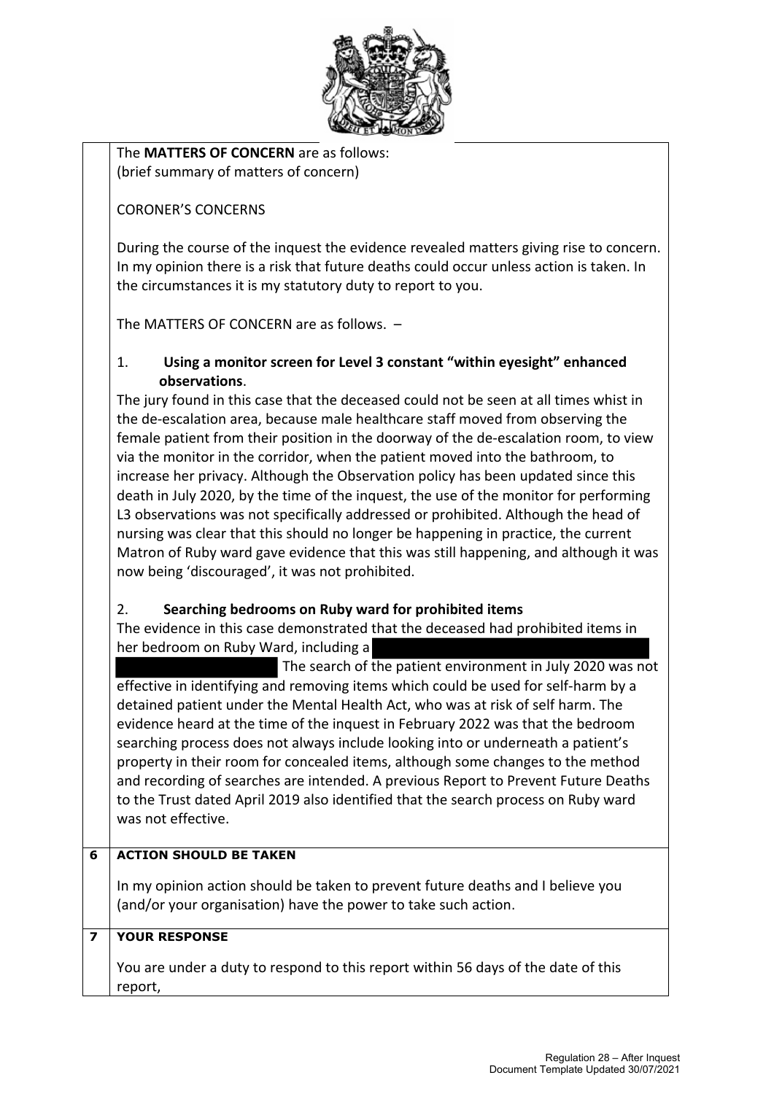

The **MATTERS OF CONCERN** are as follows: (brief summary of matters of concern)

### CORONER'S CONCERNS

During the course of the inquest the evidence revealed matters giving rise to concern. In my opinion there is a risk that future deaths could occur unless action is taken. In the circumstances it is my statutory duty to report to you.

The MATTERS OF CONCERN are as follows. –

#### 1. **Using a monitor screen for Level 3 constant "within eyesight" enhanced observations**.

The jury found in this case that the deceased could not be seen at all times whist in the de-escalation area, because male healthcare staff moved from observing the female patient from their position in the doorway of the de-escalation room, to view via the monitor in the corridor, when the patient moved into the bathroom, to increase her privacy. Although the Observation policy has been updated since this death in July 2020, by the time of the inquest, the use of the monitor for performing L3 observations was not specifically addressed or prohibited. Although the head of nursing was clear that this should no longer be happening in practice, the current Matron of Ruby ward gave evidence that this was still happening, and although it was now being 'discouraged', it was not prohibited.

#### 2. **Searching bedrooms on Ruby ward for prohibited items**

The evidence in this case demonstrated that the deceased had prohibited items in her bedroom on Ruby Ward, including a

 The search of the patient environment in July 2020 was not effective in identifying and removing items which could be used for self-harm by a detained patient under the Mental Health Act, who was at risk of self harm. The evidence heard at the time of the inquest in February 2022 was that the bedroom searching process does not always include looking into or underneath a patient's property in their room for concealed items, although some changes to the method and recording of searches are intended. A previous Report to Prevent Future Deaths to the Trust dated April 2019 also identified that the search process on Ruby ward was not effective.

### **6 ACTION SHOULD BE TAKEN**

In my opinion action should be taken to prevent future deaths and I believe you (and/or your organisation) have the power to take such action.

## **7 YOUR RESPONSE**

You are under a duty to respond to this report within 56 days of the date of this report,